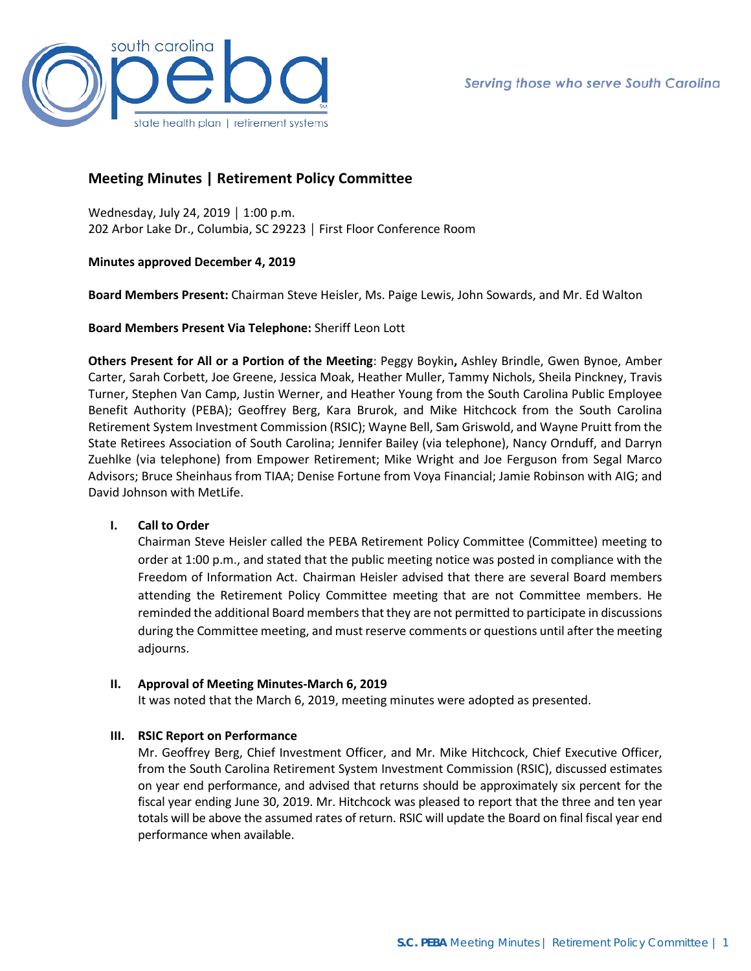

# **Meeting Minutes | Retirement Policy Committee**

Wednesday, July 24, 2019 │ 1:00 p.m. 202 Arbor Lake Dr., Columbia, SC 29223 │ First Floor Conference Room

**Minutes approved December 4, 2019**

**Board Members Present:** Chairman Steve Heisler, Ms. Paige Lewis, John Sowards, and Mr. Ed Walton

**Board Members Present Via Telephone:** Sheriff Leon Lott

**Others Present for All or a Portion of the Meeting**: Peggy Boykin**,** Ashley Brindle, Gwen Bynoe, Amber Carter, Sarah Corbett, Joe Greene, Jessica Moak, Heather Muller, Tammy Nichols, Sheila Pinckney, Travis Turner, Stephen Van Camp, Justin Werner, and Heather Young from the South Carolina Public Employee Benefit Authority (PEBA); Geoffrey Berg, Kara Brurok, and Mike Hitchcock from the South Carolina Retirement System Investment Commission (RSIC); Wayne Bell, Sam Griswold, and Wayne Pruitt from the State Retirees Association of South Carolina; Jennifer Bailey (via telephone), Nancy Ornduff, and Darryn Zuehlke (via telephone) from Empower Retirement; Mike Wright and Joe Ferguson from Segal Marco Advisors; Bruce Sheinhaus from TIAA; Denise Fortune from Voya Financial; Jamie Robinson with AIG; and David Johnson with MetLife.

# **I. Call to Order**

Chairman Steve Heisler called the PEBA Retirement Policy Committee (Committee) meeting to order at 1:00 p.m., and stated that the public meeting notice was posted in compliance with the Freedom of Information Act. Chairman Heisler advised that there are several Board members attending the Retirement Policy Committee meeting that are not Committee members. He reminded the additional Board members that they are not permitted to participate in discussions during the Committee meeting, and must reserve comments or questions until after the meeting adjourns.

# **II. Approval of Meeting Minutes-March 6, 2019**

It was noted that the March 6, 2019, meeting minutes were adopted as presented.

# **III. RSIC Report on Performance**

Mr. Geoffrey Berg, Chief Investment Officer, and Mr. Mike Hitchcock, Chief Executive Officer, from the South Carolina Retirement System Investment Commission (RSIC), discussed estimates on year end performance, and advised that returns should be approximately six percent for the fiscal year ending June 30, 2019. Mr. Hitchcock was pleased to report that the three and ten year totals will be above the assumed rates of return. RSIC will update the Board on final fiscal year end performance when available.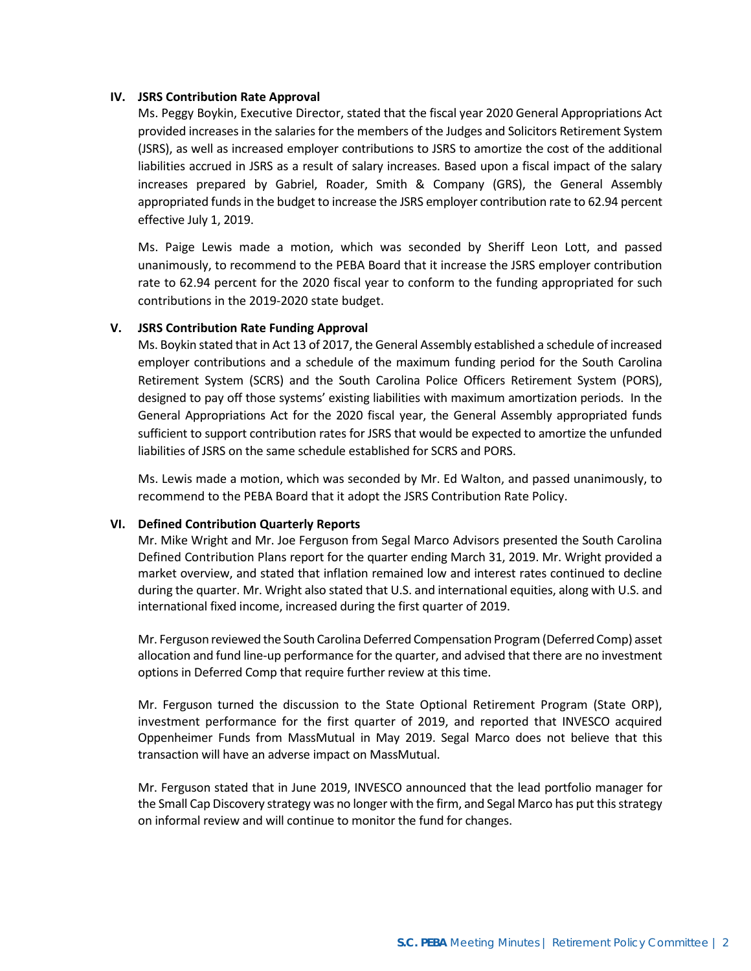### **IV. JSRS Contribution Rate Approval**

Ms. Peggy Boykin, Executive Director, stated that the fiscal year 2020 General Appropriations Act provided increases in the salaries for the members of the Judges and Solicitors Retirement System (JSRS), as well as increased employer contributions to JSRS to amortize the cost of the additional liabilities accrued in JSRS as a result of salary increases. Based upon a fiscal impact of the salary increases prepared by Gabriel, Roader, Smith & Company (GRS), the General Assembly appropriated funds in the budget to increase the JSRS employer contribution rate to 62.94 percent effective July 1, 2019.

Ms. Paige Lewis made a motion, which was seconded by Sheriff Leon Lott, and passed unanimously, to recommend to the PEBA Board that it increase the JSRS employer contribution rate to 62.94 percent for the 2020 fiscal year to conform to the funding appropriated for such contributions in the 2019-2020 state budget.

### **V. JSRS Contribution Rate Funding Approval**

Ms. Boykin stated that in Act 13 of 2017, the General Assembly established a schedule of increased employer contributions and a schedule of the maximum funding period for the South Carolina Retirement System (SCRS) and the South Carolina Police Officers Retirement System (PORS), designed to pay off those systems' existing liabilities with maximum amortization periods. In the General Appropriations Act for the 2020 fiscal year, the General Assembly appropriated funds sufficient to support contribution rates for JSRS that would be expected to amortize the unfunded liabilities of JSRS on the same schedule established for SCRS and PORS.

Ms. Lewis made a motion, which was seconded by Mr. Ed Walton, and passed unanimously, to recommend to the PEBA Board that it adopt the JSRS Contribution Rate Policy.

#### **VI. Defined Contribution Quarterly Reports**

Mr. Mike Wright and Mr. Joe Ferguson from Segal Marco Advisors presented the South Carolina Defined Contribution Plans report for the quarter ending March 31, 2019. Mr. Wright provided a market overview, and stated that inflation remained low and interest rates continued to decline during the quarter. Mr. Wright also stated that U.S. and international equities, along with U.S. and international fixed income, increased during the first quarter of 2019.

Mr. Ferguson reviewed the South Carolina Deferred Compensation Program (Deferred Comp) asset allocation and fund line-up performance for the quarter, and advised that there are no investment options in Deferred Comp that require further review at this time.

Mr. Ferguson turned the discussion to the State Optional Retirement Program (State ORP), investment performance for the first quarter of 2019, and reported that INVESCO acquired Oppenheimer Funds from MassMutual in May 2019. Segal Marco does not believe that this transaction will have an adverse impact on MassMutual.

Mr. Ferguson stated that in June 2019, INVESCO announced that the lead portfolio manager for the Small Cap Discovery strategy was no longer with the firm, and Segal Marco has put this strategy on informal review and will continue to monitor the fund for changes.